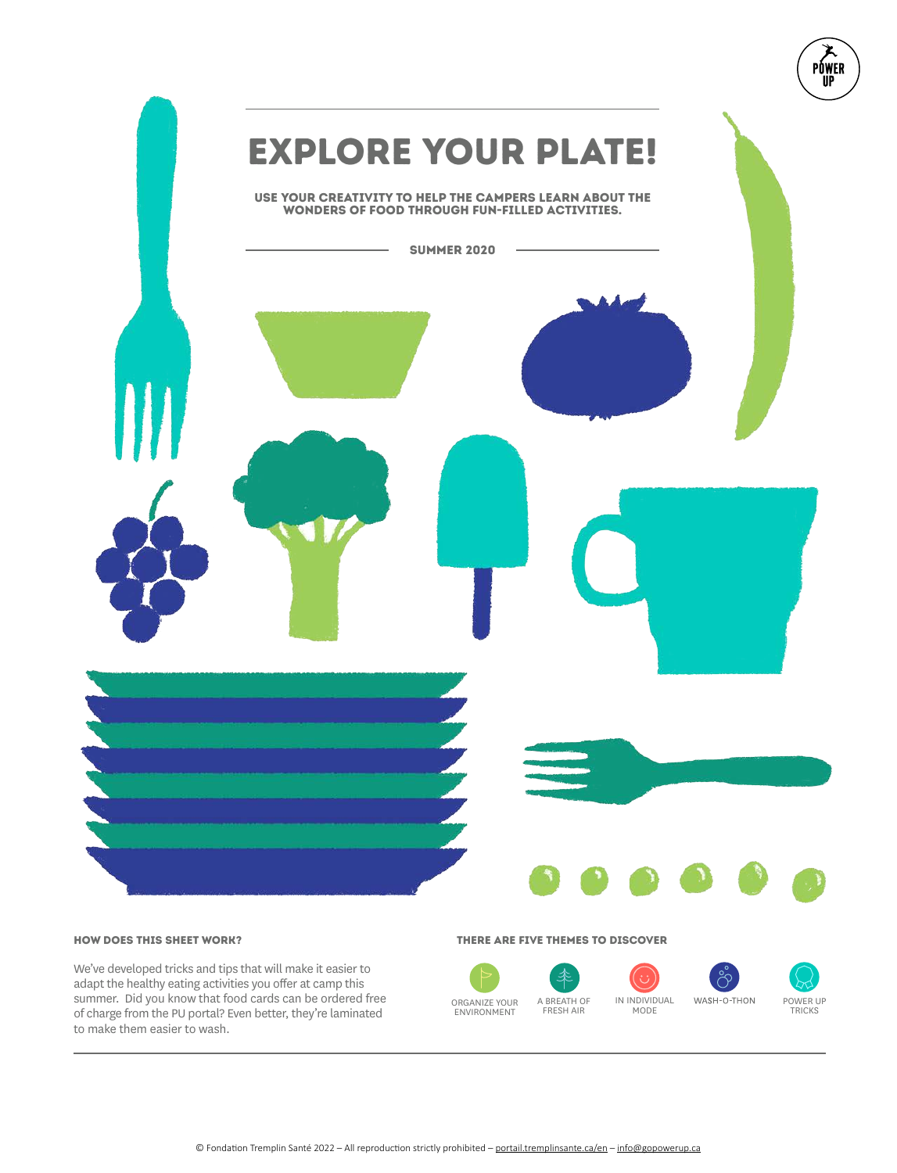

We've developed tricks and tips that will make it easier to adapt the healthy eating activities you offer at camp this summer. Did you know that food cards can be ordered free of charge from the PU portal? Even better, they're laminated to make them easier to wash.

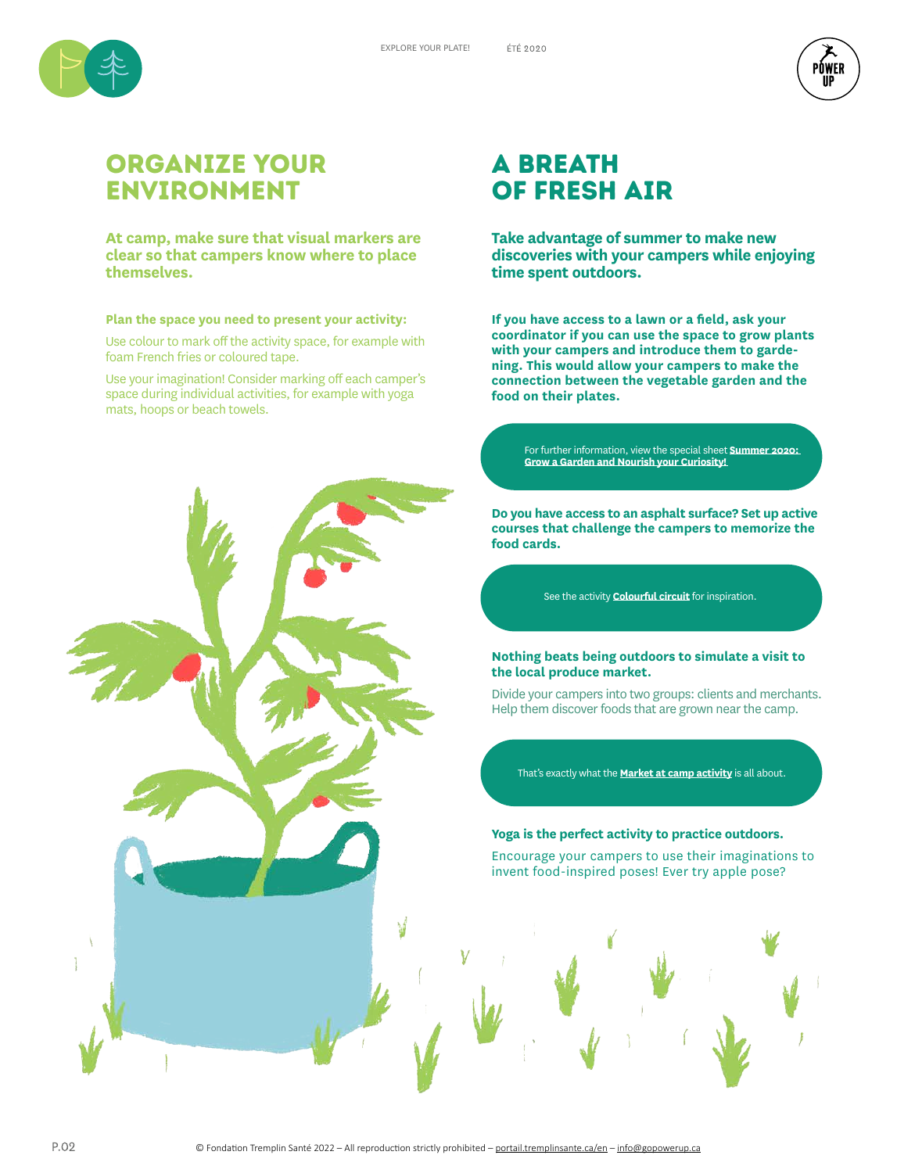



## OrganiZe your Environment

**At camp, make sure that visual markers are clear so that campers know where to place themselves.** 

#### **Plan the space you need to present your activity:**

Use colour to mark off the activity space, for example with foam French fries or coloured tape.

Use your imagination! Consider marking off each camper's space during individual activities, for example with yoga mats, hoops or beach towels.



## a breath of fresh air

**Take advantage of summer to make new discoveries with your campers while enjoying time spent outdoors.**

**If you have access to a lawn or a field, ask your coordinator if you can use the space to grow plants with your campers and introduce them to gardening. This would allow your campers to make the connection between the vegetable garden and the food on their plates.**

For further information, view the special sheet **Summer 2020: Grow a Garden and Nourish your Curiosity!** 

**Do you have access to an asphalt surface? Set up active courses that challenge the campers to memorize the food cards.**

See the activity **Colourful circuit** for inspiration.

#### **Nothing beats being outdoors to simulate a visit to the local produce market.**

Divide your campers into two groups: clients and merchants. Help them discover foods that are grown near the camp.

That's exactly what the **Market at camp activity** is all about.

#### **Yoga is the perfect activity to practice outdoors.**

Encourage your campers to use their imaginations to invent food-inspired poses! Ever try apple pose?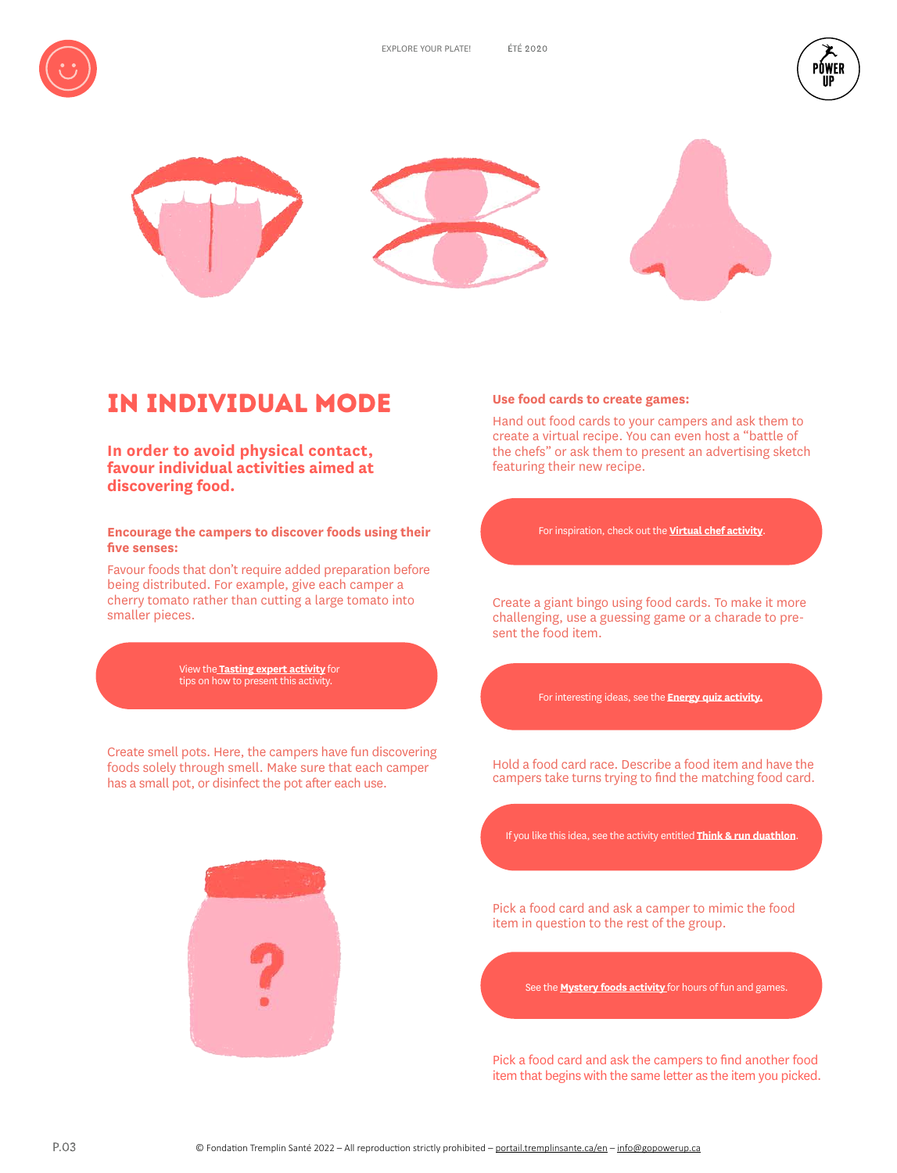





# IN INDividual mode

**In order to avoid physical contact, favour individual activities aimed at discovering food.**

**Encourage the campers to discover foods using their five senses:**

Favour foods that don't require added preparation before being distributed. For example, give each camper a cherry tomato rather than cutting a large tomato into smaller pieces.

View the **Tasting expert activity** for tips on how to present this activity.

Create smell pots. Here, the campers have fun discovering foods solely through smell. Make sure that each camper has a small pot, or disinfect the pot after each use.



#### **Use food cards to create games:**

Hand out food cards to your campers and ask them to create a virtual recipe. You can even host a "battle of the chefs" or ask them to present an advertising sketch featuring their new recipe.

For inspiration, check out the **Virtual chef activity**.

Create a giant bingo using food cards. To make it more challenging, use a guessing game or a charade to present the food item.

For interesting ideas, see the **Energy quiz activity.**

Hold a food card race. Describe a food item and have the campers take turns trying to find the matching food card.

If you like this idea, see the activity entitled **Think & run duathlon**.

Pick a food card and ask a camper to mimic the food item in question to the rest of the group.

See the **Mystery foods activity** for hours of fun and games.

Pick a food card and ask the campers to find another food item that begins with the same letter as the item you picked.